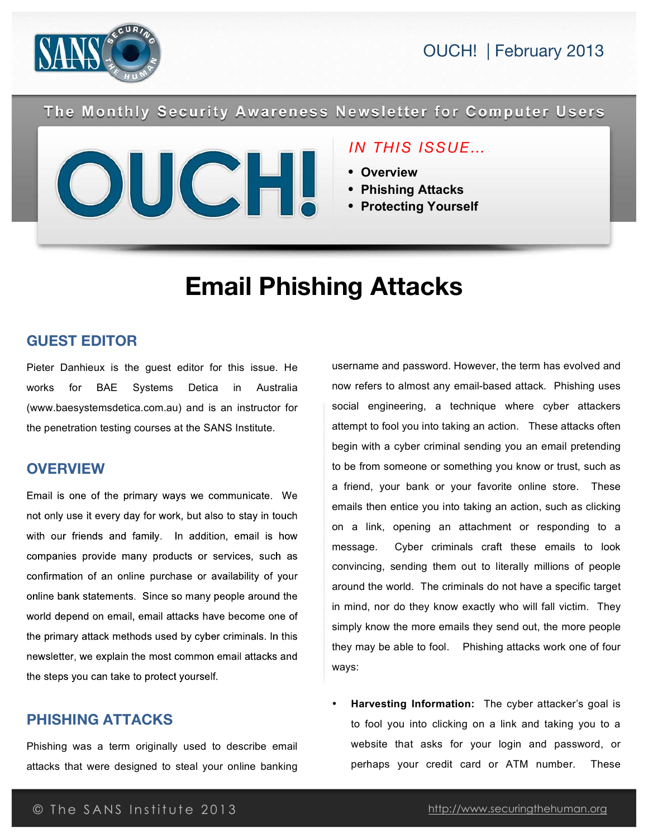



The Monthly Security Awareness Newsletter for Computer Users



### *IN THIS ISSUE…*

- **Overview**
- **Phishing Attacks**
- **Protecting Yourself**

# **Email Phishing Attacks**

### **GUEST EDITOR**

Pieter Danhieux is the guest editor for this issue. He works for BAE Systems Detica in Australia (www.baesystemsdetica.com.au) and is an instructor for the penetration testing courses at the SANS Institute.

### **OVERVIEW**

Email is one of the primary ways we communicate. We not only use it every day for work, but also to stay in touch with our friends and family. In addition, email is how companies provide many products or services, such as confirmation of an online purchase or availability of your online bank statements. Since so many people around the world depend on email, email attacks have become one of the primary attack methods used by cyber criminals. In this newsletter, we explain the most common email attacks and the steps you can take to protect yourself.

### **PHISHING ATTACKS**

Phishing was a term originally used to describe email attacks that were designed to steal your online banking

username and password. However, the term has evolved and now refers to almost any email-based attack. Phishing uses social engineering, a technique where cyber attackers attempt to fool you into taking an action. These attacks often begin with a cyber criminal sending you an email pretending to be from someone or something you know or trust, such as a friend, your bank or your favorite online store. These emails then entice you into taking an action, such as clicking on a link, opening an attachment or responding to a message. Cyber criminals craft these emails to look convincing, sending them out to literally millions of people around the world. The criminals do not have a specific target in mind, nor do they know exactly who will fall victim. They simply know the more emails they send out, the more people they may be able to fool. Phishing attacks work one of four ways:

• **Harvesting Information:** The cyber attacker's goal is to fool you into clicking on a link and taking you to a website that asks for your login and password, or perhaps your credit card or ATM number. These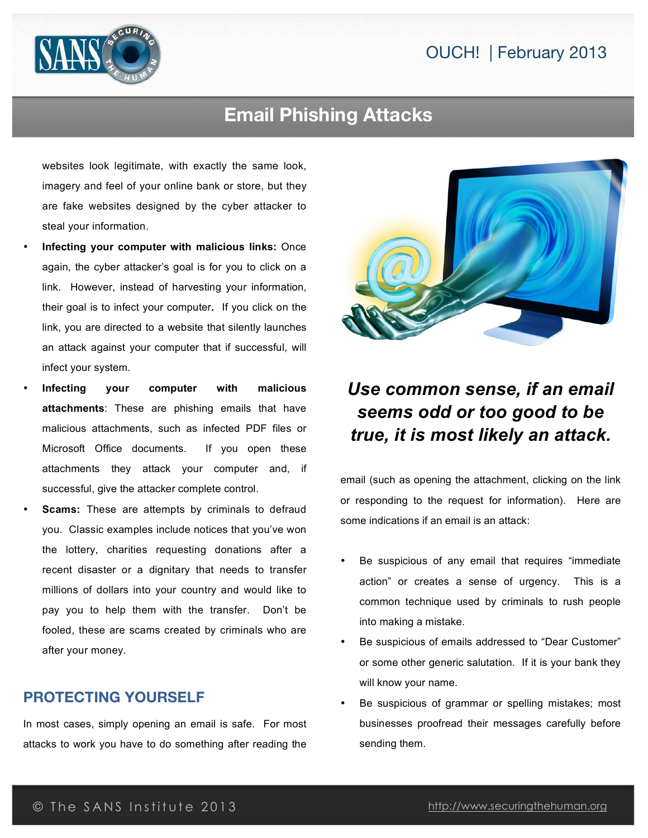### OUCH! | February 2013



### **Email Phishing Attacks**

websites look legitimate, with exactly the same look, imagery and feel of your online bank or store, but they are fake websites designed by the cyber attacker to steal your information.

- **Infecting your computer with malicious links:** Once again, the cyber attacker's goal is for you to click on a link. However, instead of harvesting your information, their goal is to infect your computer**.** If you click on the link, you are directed to a website that silently launches an attack against your computer that if successful, will infect your system.
- **Infecting your computer with malicious attachments**: These are phishing emails that have malicious attachments, such as infected PDF files or Microsoft Office documents. If you open these attachments they attack your computer and, if successful, give the attacker complete control.
- **Scams:** These are attempts by criminals to defraud you. Classic examples include notices that you've won the lottery, charities requesting donations after a recent disaster or a dignitary that needs to transfer millions of dollars into your country and would like to pay you to help them with the transfer. Don't be fooled, these are scams created by criminals who are after your money.

#### **PROTECTING YOURSELF**

In most cases, simply opening an email is safe. For most attacks to work you have to do something after reading the



## *Use common sense, if an email seems odd or too good to be true, it is most likely an attack.*

email (such as opening the attachment, clicking on the link or responding to the request for information). Here are some indications if an email is an attack:

- Be suspicious of any email that requires "immediate action" or creates a sense of urgency. This is a common technique used by criminals to rush people into making a mistake.
- Be suspicious of emails addressed to "Dear Customer" or some other generic salutation. If it is your bank they will know your name.
- Be suspicious of grammar or spelling mistakes; most businesses proofread their messages carefully before sending them.